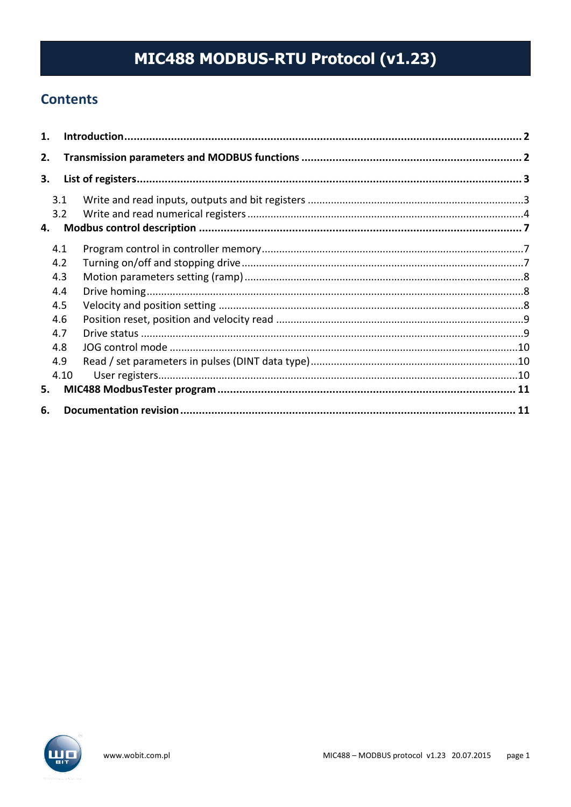# MIC488 MODBUS-RTU Protocol (v1.23)

# **Contents**

| 1. |      |  |
|----|------|--|
| 2. |      |  |
| 3. |      |  |
|    | 3.1  |  |
|    | 3.2  |  |
| 4. |      |  |
|    | 4.1  |  |
|    | 4.2  |  |
|    | 4.3  |  |
|    | 4.4  |  |
|    | 4.5  |  |
|    | 4.6  |  |
|    | 4.7  |  |
|    | 4.8  |  |
|    | 4.9  |  |
|    | 4.10 |  |
| 5. |      |  |
| 6. |      |  |

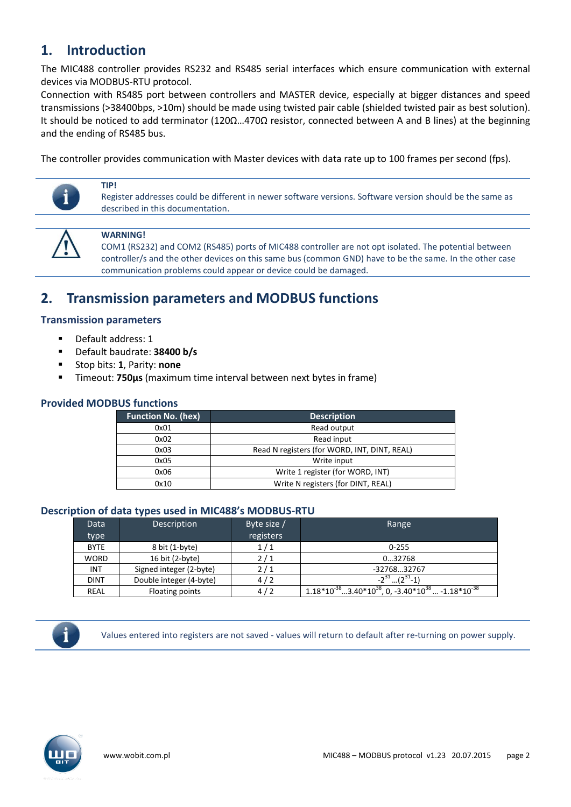# <span id="page-1-0"></span>**1. Introduction**

The MIC488 controller provides RS232 and RS485 serial interfaces which ensure communication with external devices via MODBUS-RTU protocol.

Connection with RS485 port between controllers and MASTER device, especially at bigger distances and speed transmissions (>38400bps, >10m) should be made using twisted pair cable (shielded twisted pair as best solution). It should be noticed to add terminator (120Ω…470Ω resistor, connected between A and B lines) at the beginning and the ending of RS485 bus.

The controller provides communication with Master devices with data rate up to 100 frames per second (fps).



### **WARNING!**

described in this documentation.

**TIP!**

COM1 (RS232) and COM2 (RS485) ports of MIC488 controller are not opt isolated. The potential between controller/s and the other devices on this same bus (common GND) have to be the same. In the other case communication problems could appear or device could be damaged.

Register addresses could be different in newer software versions. Software version should be the same as

# <span id="page-1-1"></span>**2. Transmission parameters and MODBUS functions**

### **Transmission parameters**

- Default address: 1
- Default baudrate: **38400 b/s**
- Stop bits: **1**, Parity: **none**
- Timeout: **750µs** (maximum time interval between next bytes in frame)

### **Provided MODBUS functions**

| <b>Function No. (hex)</b> | <b>Description</b>                           |
|---------------------------|----------------------------------------------|
| 0x01                      | Read output                                  |
| 0x02                      | Read input                                   |
| 0x03                      | Read N registers (for WORD, INT, DINT, REAL) |
| 0x05                      | Write input                                  |
| 0x06                      | Write 1 register (for WORD, INT)             |
| 0x10                      | Write N registers (for DINT, REAL)           |

### **Description of data types used in MIC488's MODBUS-RTU**

| <b>Data</b> | <b>Description</b>      | Byte size / | Range                                                             |
|-------------|-------------------------|-------------|-------------------------------------------------------------------|
| type        |                         | registers   |                                                                   |
| <b>BYTE</b> | 8 bit (1-byte)          | 1/1         | $0 - 255$                                                         |
| <b>WORD</b> | 16 bit (2-byte)         | 2/1         | 032768                                                            |
| <b>INT</b>  | Signed integer (2-byte) | 2/1         | -3276832767                                                       |
| <b>DINT</b> | Double integer (4-byte) | 4/2         | $-2^{31}$ $(2^{31}$ -1)                                           |
| <b>REAL</b> | Floating points         | 4/2         | $1.18*10^{-38}3.40*10^{38}$ , 0, $-3.40*10^{38}$ $-1.18*10^{-38}$ |

Values entered into registers are not saved - values will return to default after re-turning on power supply.

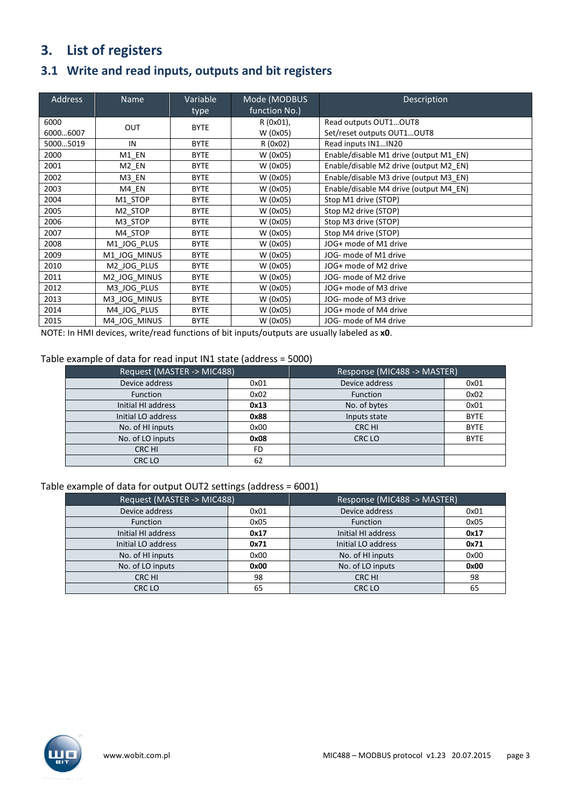# <span id="page-2-0"></span>**3. List of registers**

# <span id="page-2-1"></span>**3.1 Write and read inputs, outputs and bit registers**

| <b>Address</b>   | <b>Name</b>  | Variable<br>type | Mode (MODBUS<br>function No.) | Description                                         |
|------------------|--------------|------------------|-------------------------------|-----------------------------------------------------|
| 6000<br>60006007 | OUT          | <b>BYTE</b>      | R (0x01),<br>W (0x05)         | Read outputs OUT1OUT8<br>Set/reset outputs OUT1OUT8 |
| 50005019         | IN           | <b>BYTE</b>      | R (0x02)                      | Read inputs IN1IN20                                 |
| 2000             | M1_EN        | <b>BYTE</b>      | W (0x05)                      | Enable/disable M1 drive (output M1_EN)              |
| 2001             | M2 EN        | <b>BYTE</b>      | W (0x05)                      | Enable/disable M2 drive (output M2 EN)              |
| 2002             | M3 EN        | <b>BYTE</b>      | W (0x05)                      | Enable/disable M3 drive (output M3 EN)              |
| 2003             | M4 EN        | <b>BYTE</b>      | W (0x05)                      | Enable/disable M4 drive (output M4 EN)              |
| 2004             | M1 STOP      | <b>BYTE</b>      | W (0x05)                      | Stop M1 drive (STOP)                                |
| 2005             | M2 STOP      | <b>BYTE</b>      | W (0x05)                      | Stop M2 drive (STOP)                                |
| 2006             | M3 STOP      | <b>BYTE</b>      | W (0x05)                      | Stop M3 drive (STOP)                                |
| 2007             | M4 STOP      | <b>BYTE</b>      | W (0x05)                      | Stop M4 drive (STOP)                                |
| 2008             | M1 JOG PLUS  | <b>BYTE</b>      | W (0x05)                      | JOG+ mode of M1 drive                               |
| 2009             | M1 JOG MINUS | <b>BYTE</b>      | W (0x05)                      | JOG- mode of M1 drive                               |
| 2010             | M2 JOG PLUS  | <b>BYTE</b>      | W (0x05)                      | JOG+ mode of M2 drive                               |
| 2011             | M2 JOG MINUS | <b>BYTE</b>      | W (0x05)                      | JOG- mode of M2 drive                               |
| 2012             | M3 JOG PLUS  | <b>BYTE</b>      | W (0x05)                      | JOG+ mode of M3 drive                               |
| 2013             | M3 JOG MINUS | <b>BYTE</b>      | W (0x05)                      | JOG- mode of M3 drive                               |
| 2014             | M4 JOG PLUS  | <b>BYTE</b>      | W (0x05)                      | JOG+ mode of M4 drive                               |
| 2015             | M4 JOG MINUS | <b>BYTE</b>      | W (0x05)                      | JOG- mode of M4 drive                               |

NOTE: In HMI devices, write/read functions of bit inputs/outputs are usually labeled as **x0**.

#### Table example of data for read input IN1 state (address = 5000)

| Request (MASTER -> MIC488) |      | Response (MIC488 -> MASTER) |             |  |
|----------------------------|------|-----------------------------|-------------|--|
| Device address             | 0x01 | Device address              | 0x01        |  |
| <b>Function</b>            | 0x02 | Function                    | 0x02        |  |
| Initial HI address         | 0x13 | No. of bytes                | 0x01        |  |
| Initial LO address         | 0x88 | Inputs state                | <b>BYTE</b> |  |
| No. of HI inputs           | 0x00 | CRC HI                      | <b>BYTE</b> |  |
| No. of LO inputs           | 0x08 | CRC LO                      | <b>BYTE</b> |  |
| CRC HI                     | FD   |                             |             |  |
| CRC LO                     | 62   |                             |             |  |

### Table example of data for output OUT2 settings (address = 6001)

| Request (MASTER -> MIC488) |      | Response (MIC488 -> MASTER) |      |
|----------------------------|------|-----------------------------|------|
| Device address             | 0x01 | Device address              | 0x01 |
| <b>Function</b>            | 0x05 | Function                    | 0x05 |
| Initial HI address         | 0x17 | Initial HI address          | 0x17 |
| Initial LO address         | 0x71 | Initial LO address          | 0x71 |
| No. of HI inputs           | 0x00 | No. of HI inputs            | 0x00 |
| No. of LO inputs           | 0x00 | No. of LO inputs            | 0x00 |
| CRC HI                     | 98   | CRC HI                      | 98   |
| CRC LO                     | 65   | CRC LO                      | 65   |

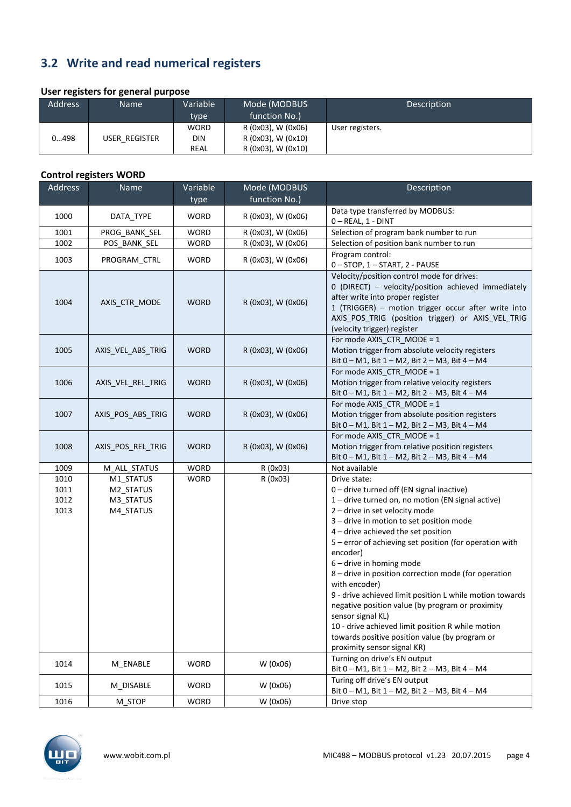# <span id="page-3-0"></span>**3.2 Write and read numerical registers**

### **User registers for general purpose**

| . .<br><b>Address</b> | . .<br><b>Name</b> | Variable                  | Mode (MODBUS<br>function No.)            | Description     |
|-----------------------|--------------------|---------------------------|------------------------------------------|-----------------|
|                       |                    | type<br><b>WORD</b>       | R (0x03), W (0x06)                       | User registers. |
| 0498                  | USER REGISTER      | <b>DIN</b><br><b>REAL</b> | R (0x03), W (0x10)<br>R (0x03), W (0x10) |                 |

### **Control registers WORD**

| <b>Address</b>               | Name                                             | Variable<br>type | Mode (MODBUS<br>function No.) | Description                                                                                                                                                                                                                                                                                                                                                                                                                                                                                                                                                                                                                                                                              |
|------------------------------|--------------------------------------------------|------------------|-------------------------------|------------------------------------------------------------------------------------------------------------------------------------------------------------------------------------------------------------------------------------------------------------------------------------------------------------------------------------------------------------------------------------------------------------------------------------------------------------------------------------------------------------------------------------------------------------------------------------------------------------------------------------------------------------------------------------------|
|                              |                                                  |                  |                               | Data type transferred by MODBUS:                                                                                                                                                                                                                                                                                                                                                                                                                                                                                                                                                                                                                                                         |
| 1000                         | DATA_TYPE                                        | WORD             | R (0x03), W (0x06)            | 0-REAL, 1 - DINT                                                                                                                                                                                                                                                                                                                                                                                                                                                                                                                                                                                                                                                                         |
| 1001                         | PROG_BANK_SEL                                    | <b>WORD</b>      | R (0x03), W (0x06)            | Selection of program bank number to run                                                                                                                                                                                                                                                                                                                                                                                                                                                                                                                                                                                                                                                  |
| 1002                         | POS BANK SEL                                     | <b>WORD</b>      | R (0x03), W (0x06)            | Selection of position bank number to run                                                                                                                                                                                                                                                                                                                                                                                                                                                                                                                                                                                                                                                 |
| 1003                         | PROGRAM_CTRL                                     | <b>WORD</b>      | R (0x03), W (0x06)            | Program control:                                                                                                                                                                                                                                                                                                                                                                                                                                                                                                                                                                                                                                                                         |
|                              |                                                  |                  |                               | 0 - STOP, 1 - START, 2 - PAUSE                                                                                                                                                                                                                                                                                                                                                                                                                                                                                                                                                                                                                                                           |
| 1004                         | AXIS CTR MODE                                    | <b>WORD</b>      | R (0x03), W (0x06)            | Velocity/position control mode for drives:<br>0 (DIRECT) - velocity/position achieved immediately<br>after write into proper register<br>1 (TRIGGER) - motion trigger occur after write into<br>AXIS POS TRIG (position trigger) or AXIS VEL TRIG<br>(velocity trigger) register<br>For mode AXIS_CTR_MODE = 1                                                                                                                                                                                                                                                                                                                                                                           |
| 1005                         | AXIS VEL ABS TRIG                                | <b>WORD</b>      | R (0x03), W (0x06)            | Motion trigger from absolute velocity registers<br>Bit 0 - M1, Bit 1 - M2, Bit 2 - M3, Bit 4 - M4                                                                                                                                                                                                                                                                                                                                                                                                                                                                                                                                                                                        |
| 1006                         | AXIS VEL REL TRIG                                | <b>WORD</b>      | R (0x03), W (0x06)            | For mode AXIS_CTR_MODE = 1<br>Motion trigger from relative velocity registers<br>Bit 0 – M1, Bit 1 – M2, Bit 2 – M3, Bit 4 – M4                                                                                                                                                                                                                                                                                                                                                                                                                                                                                                                                                          |
| 1007                         | AXIS POS ABS TRIG                                | <b>WORD</b>      | R (0x03), W (0x06)            | For mode AXIS_CTR_MODE = 1<br>Motion trigger from absolute position registers<br>Bit 0 - M1, Bit 1 - M2, Bit 2 - M3, Bit 4 - M4                                                                                                                                                                                                                                                                                                                                                                                                                                                                                                                                                          |
| 1008                         | AXIS POS REL TRIG                                | <b>WORD</b>      | R (0x03), W (0x06)            | For mode AXIS_CTR_MODE = 1<br>Motion trigger from relative position registers<br>Bit 0 - M1, Bit 1 - M2, Bit 2 - M3, Bit 4 - M4                                                                                                                                                                                                                                                                                                                                                                                                                                                                                                                                                          |
| 1009                         | M_ALL_STATUS                                     | <b>WORD</b>      | R (0x03)                      | Not available                                                                                                                                                                                                                                                                                                                                                                                                                                                                                                                                                                                                                                                                            |
| 1010<br>1011<br>1012<br>1013 | M1_STATUS<br>M2_STATUS<br>M3_STATUS<br>M4_STATUS | <b>WORD</b>      | R (0x03)                      | Drive state:<br>0 - drive turned off (EN signal inactive)<br>1-drive turned on, no motion (EN signal active)<br>2 - drive in set velocity mode<br>3 - drive in motion to set position mode<br>4 - drive achieved the set position<br>5 - error of achieving set position (for operation with<br>encoder)<br>6 - drive in homing mode<br>8 - drive in position correction mode (for operation<br>with encoder)<br>9 - drive achieved limit position L while motion towards<br>negative position value (by program or proximity<br>sensor signal KL)<br>10 - drive achieved limit position R while motion<br>towards positive position value (by program or<br>proximity sensor signal KR) |
| 1014                         | M_ENABLE                                         | <b>WORD</b>      | W (0x06)                      | Turning on drive's EN output<br>Bit 0 - M1, Bit 1 - M2, Bit 2 - M3, Bit 4 - M4                                                                                                                                                                                                                                                                                                                                                                                                                                                                                                                                                                                                           |
| 1015                         | M DISABLE                                        | WORD             | W (0x06)                      | Turing off drive's EN output<br>Bit 0 - M1, Bit 1 - M2, Bit 2 - M3, Bit 4 - M4                                                                                                                                                                                                                                                                                                                                                                                                                                                                                                                                                                                                           |
| 1016                         | M STOP                                           | <b>WORD</b>      | W (0x06)                      | Drive stop                                                                                                                                                                                                                                                                                                                                                                                                                                                                                                                                                                                                                                                                               |

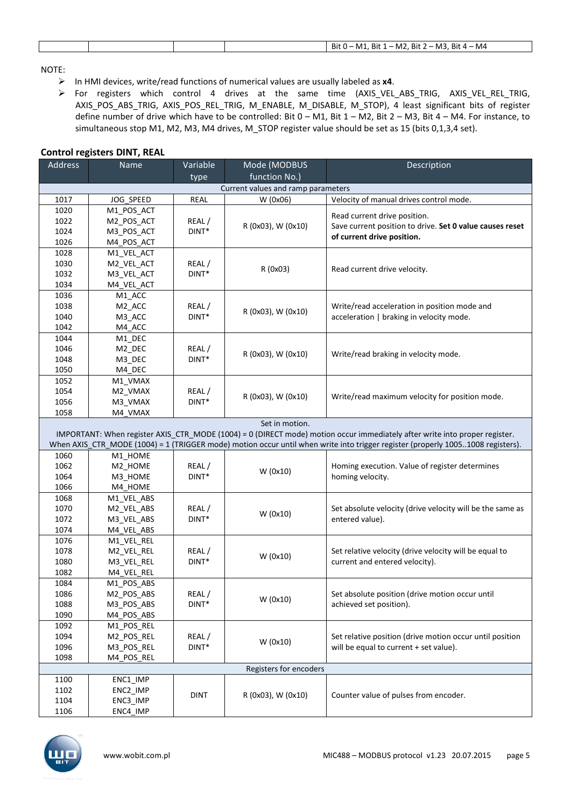|--|

#### NOTE:

- In HMI devices, write/read functions of numerical values are usually labeled as **x4**.
- $\triangleright$  For registers which control 4 drives at the same time (AXIS VEL ABS TRIG, AXIS VEL REL TRIG, AXIS\_POS\_ABS\_TRIG, AXIS\_POS\_REL\_TRIG, M\_ENABLE, M\_DISABLE, M\_STOP), 4 least significant bits of register define number of drive which have to be controlled: Bit 0 – M1, Bit 1 – M2, Bit 2 – M3, Bit 4 – M4. For instance, to simultaneous stop M1, M2, M3, M4 drives, M\_STOP register value should be set as 15 (bits 0,1,3,4 set).

| <b>Address</b>                     | Name               | Variable    | Mode (MODBUS           | Description                                                                                                                     |  |
|------------------------------------|--------------------|-------------|------------------------|---------------------------------------------------------------------------------------------------------------------------------|--|
|                                    |                    | type        | function No.)          |                                                                                                                                 |  |
| Current values and ramp parameters |                    |             |                        |                                                                                                                                 |  |
| 1017                               | JOG SPEED          | REAL        | W (0x06)               | Velocity of manual drives control mode.                                                                                         |  |
| 1020                               | M1_POS_ACT         |             |                        |                                                                                                                                 |  |
| 1022                               | M2 POS ACT         | REAL/       |                        | Read current drive position.                                                                                                    |  |
| 1024                               | M3_POS_ACT         | $DINT*$     | R (0x03), W (0x10)     | Save current position to drive. Set 0 value causes reset                                                                        |  |
| 1026                               | M4_POS_ACT         |             |                        | of current drive position.                                                                                                      |  |
| 1028                               | M1_VEL_ACT         |             |                        |                                                                                                                                 |  |
| 1030                               | M2_VEL_ACT         | REAL/       |                        |                                                                                                                                 |  |
| 1032                               | M3_VEL_ACT         | DINT*       | R (0x03)               | Read current drive velocity.                                                                                                    |  |
| 1034                               | M4_VEL_ACT         |             |                        |                                                                                                                                 |  |
| 1036                               | M1_ACC             |             |                        |                                                                                                                                 |  |
| 1038                               | M <sub>2_ACC</sub> | REAL/       |                        | Write/read acceleration in position mode and                                                                                    |  |
| 1040                               | M3_ACC             | DINT*       | R (0x03), W (0x10)     | acceleration   braking in velocity mode.                                                                                        |  |
| 1042                               | M4_ACC             |             |                        |                                                                                                                                 |  |
| 1044                               | M1_DEC             |             |                        |                                                                                                                                 |  |
| 1046                               | M <sub>2_DEC</sub> | REAL/       |                        |                                                                                                                                 |  |
| 1048                               | M3_DEC             | $DINT*$     | R (0x03), W (0x10)     | Write/read braking in velocity mode.                                                                                            |  |
| 1050                               | M4_DEC             |             |                        |                                                                                                                                 |  |
| 1052                               | M1_VMAX            |             |                        |                                                                                                                                 |  |
| 1054                               | M2_VMAX            | REAL/       |                        |                                                                                                                                 |  |
| 1056                               | M3_VMAX            | $DINT*$     | R (0x03), W (0x10)     | Write/read maximum velocity for position mode.                                                                                  |  |
| 1058                               | M4_VMAX            |             |                        |                                                                                                                                 |  |
|                                    |                    |             | Set in motion.         |                                                                                                                                 |  |
|                                    |                    |             |                        | IMPORTANT: When register AXIS_CTR_MODE (1004) = 0 (DIRECT mode) motion occur immediately after write into proper register.      |  |
|                                    |                    |             |                        | When AXIS_CTR_MODE (1004) = 1 (TRIGGER mode) motion occur until when write into trigger register (properly 10051008 registers). |  |
| 1060                               | M1_HOME            |             |                        |                                                                                                                                 |  |
| 1062                               | M2_HOME            | REAL/       |                        | Homing execution. Value of register determines                                                                                  |  |
| 1064                               | M3_HOME            | DINT*       | W(0x10)                | homing velocity.                                                                                                                |  |
| 1066                               | M4 HOME            |             |                        |                                                                                                                                 |  |
| 1068                               | M1_VEL_ABS         |             |                        |                                                                                                                                 |  |
| 1070                               | M2_VEL_ABS         | REAL/       |                        | Set absolute velocity (drive velocity will be the same as                                                                       |  |
| 1072                               | M3_VEL_ABS         | DINT*       | W(0x10)                | entered value).                                                                                                                 |  |
| 1074                               | M4_VEL_ABS         |             |                        |                                                                                                                                 |  |
| 1076                               | M1_VEL_REL         |             |                        |                                                                                                                                 |  |
| 1078                               | M2_VEL_REL         | REAL/       |                        | Set relative velocity (drive velocity will be equal to                                                                          |  |
| 1080                               | M3_VEL_REL         | DINT*       | W(0x10)                | current and entered velocity).                                                                                                  |  |
| 1082                               | M4_VEL_REL         |             |                        |                                                                                                                                 |  |
| 1084                               | M1 POS ABS         |             |                        |                                                                                                                                 |  |
| 1086                               | M2 POS ABS         | REAL/       |                        | Set absolute position (drive motion occur until                                                                                 |  |
| 1088                               | M3_POS_ABS         | $DINT*$     | W (0x10)               | achieved set position).                                                                                                         |  |
| 1090                               | M4_POS_ABS         |             |                        |                                                                                                                                 |  |
| 1092                               | M1_POS_REL         |             |                        |                                                                                                                                 |  |
| 1094                               | M2_POS_REL         | REAL/       |                        | Set relative position (drive motion occur until position                                                                        |  |
| 1096                               | M3_POS_REL         | DINT*       | W (0x10)               | will be equal to current + set value).                                                                                          |  |
| 1098                               | M4 POS REL         |             |                        |                                                                                                                                 |  |
|                                    |                    |             | Registers for encoders |                                                                                                                                 |  |
| 1100                               | ENC1_IMP           |             |                        |                                                                                                                                 |  |
| 1102                               | ENC2_IMP           |             |                        |                                                                                                                                 |  |
| 1104                               | ENC3_IMP           | <b>DINT</b> | R (0x03), W (0x10)     | Counter value of pulses from encoder.                                                                                           |  |
| 1106                               | ENC4_IMP           |             |                        |                                                                                                                                 |  |

#### **Control registers DINT, REAL**

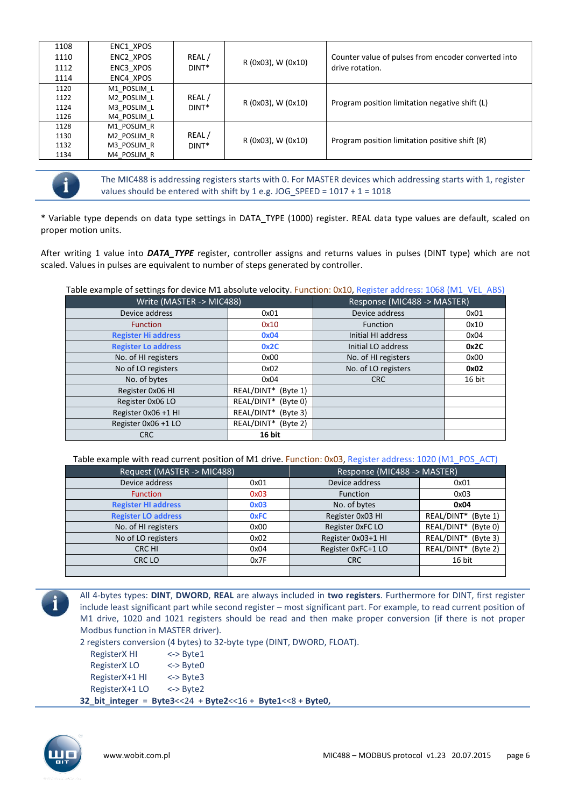| 1108<br>1110 | ENC1 XPOS<br>ENC2 XPOS | REAL/             | R (0x03), W (0x10)     | Counter value of pulses from encoder converted into |
|--------------|------------------------|-------------------|------------------------|-----------------------------------------------------|
| 1112         | ENC3 XPOS              | DINT <sup>*</sup> |                        | drive rotation.                                     |
| 1114         | ENC4 XPOS              |                   |                        |                                                     |
| 1120         | M1 POSLIM L            |                   |                        |                                                     |
| 1122         | M2 POSLIM L            | REAL/             | R (0x03), W (0x10)     | Program position limitation negative shift (L)      |
| 1124         | M3 POSLIM L            | DINT <sup>*</sup> |                        |                                                     |
| 1126         | M4 POSLIM L            |                   |                        |                                                     |
| 1128         | M1 POSLIM R            |                   |                        |                                                     |
| 1130         | M2 POSLIM R            | REAL/             | $R(0x03)$ , W $(0x10)$ | Program position limitation positive shift (R)      |
| 1132         | M3 POSLIM R            | DINT <sup>*</sup> |                        |                                                     |
| 1134         | M4 POSLIM R            |                   |                        |                                                     |



The MIC488 is addressing registers starts with 0. For MASTER devices which addressing starts with 1, register values should be entered with shift by 1 e.g. JOG\_SPEED =  $1017 + 1 = 1018$ 

\* Variable type depends on data type settings in DATA\_TYPE (1000) register. REAL data type values are default, scaled on proper motion units.

After writing 1 value into *DATA\_TYPE* register, controller assigns and returns values in pulses (DINT type) which are not scaled. Values in pulses are equivalent to number of steps generated by controller.

Table example of settings for device M1 absolute velocity. Function: 0x10, Register address: 1068 (M1\_VEL\_ABS)

| Write (MASTER -> MIC488)   | Response (MIC488 -> MASTER) |                     |        |
|----------------------------|-----------------------------|---------------------|--------|
| Device address             | 0x01                        | Device address      | 0x01   |
| <b>Function</b>            | 0x10                        | <b>Function</b>     | 0x10   |
| <b>Register Hi address</b> | 0x04                        | Initial HI address  | 0x04   |
| <b>Register Lo address</b> | 0x2C                        | Initial LO address  | 0x2C   |
| No. of HI registers        | 0x00                        | No. of HI registers | 0x00   |
| No of LO registers         | 0x02                        | No. of LO registers | 0x02   |
| No. of bytes               | 0x04                        | <b>CRC</b>          | 16 bit |
| Register 0x06 HI           | REAL/DINT* (Byte 1)         |                     |        |
| Register 0x06 LO           | REAL/DINT* (Byte 0)         |                     |        |
| Register 0x06 +1 HI        | REAL/DINT* (Byte 3)         |                     |        |
| Register 0x06 +1 LO        | REAL/DINT* (Byte 2)         |                     |        |
| <b>CRC</b>                 | 16 bit                      |                     |        |

Table example with read current position of M1 drive. Function: 0x03, Register address: 1020 (M1\_POS\_ACT)

| Request (MASTER -> MIC488) |             | Response (MIC488 -> MASTER) |                        |  |
|----------------------------|-------------|-----------------------------|------------------------|--|
| Device address             | 0x01        | Device address              | 0x01                   |  |
| <b>Function</b>            | 0x03        | <b>Function</b>             | 0x03                   |  |
| <b>Register HI address</b> | 0x03        | No. of bytes                | 0x04                   |  |
| <b>Register LO address</b> | <b>OxFC</b> | Register 0x03 HI            | REAL/DINT*<br>(Bvte1)  |  |
| No. of HI registers        | 0x00        | Register 0xFC LO            | REAL/DINT*<br>(Byte 0) |  |
| No of LO registers         | 0x02        | Register 0x03+1 HI          | REAL/DINT*<br>(Byte 3) |  |
| CRC HI                     | 0x04        | Register 0xFC+1 LO          | REAL/DINT*<br>(Byte 2) |  |
| CRC LO                     | 0x7F        | <b>CRC</b>                  | 16 bit                 |  |
|                            |             |                             |                        |  |



All 4-bytes types: **DINT**, **DWORD**, **REAL** are always included in **two registers**. Furthermore for DINT, first register include least significant part while second register – most significant part. For example, to read current position of M1 drive, 1020 and 1021 registers should be read and then make proper conversion (if there is not proper Modbus function in MASTER driver).

2 registers conversion (4 bytes) to 32-byte type (DINT, DWORD, FLOAT).

RegisterX HI RegisterX LO RegisterX+1 HI RegisterX+1 LO <-> Byte1 <-> Byte0 <-> Byte3 <-> Byte2 **32\_bit\_integer** = **Byte3**<<24 + **Byte2**<<16 + **Byte1**<<8 + **Byte0,**

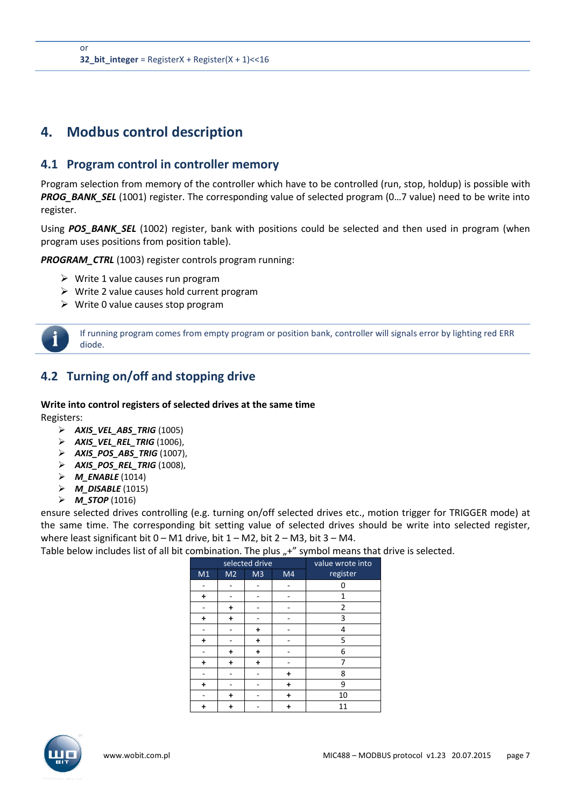# <span id="page-6-0"></span>**4. Modbus control description**

### <span id="page-6-1"></span>**4.1 Program control in controller memory**

Program selection from memory of the controller which have to be controlled (run, stop, holdup) is possible with *PROG\_BANK\_SEL* (1001) register. The corresponding value of selected program (0…7 value) need to be write into register.

Using **POS BANK SEL** (1002) register, bank with positions could be selected and then used in program (when program uses positions from position table).

*PROGRAM\_CTRL* (1003) register controls program running:

- $\triangleright$  Write 1 value causes run program
- $\triangleright$  Write 2 value causes hold current program
- $\triangleright$  Write 0 value causes stop program



If running program comes from empty program or position bank, controller will signals error by lighting red ERR diode.

# <span id="page-6-2"></span>**4.2 Turning on/off and stopping drive**

**Write into control registers of selected drives at the same time** Registers:

- *AXIS\_VEL\_ABS\_TRIG* (1005)
- *AXIS\_VEL\_REL\_TRIG* (1006),
- *AXIS\_POS\_ABS\_TRIG* (1007),
- *AXIS\_POS\_REL\_TRIG* (1008),
- *M\_ENABLE* (1014)
- *M\_DISABLE* (1015)
- *M\_STOP* (1016)

ensure selected drives controlling (e.g. turning on/off selected drives etc., motion trigger for TRIGGER mode) at the same time. The corresponding bit setting value of selected drives should be write into selected register, where least significant bit  $0 - M1$  drive, bit  $1 - M2$ , bit  $2 - M3$ , bit  $3 - M4$ .

Table below includes list of all bit combination. The plus ",+" symbol means that drive is selected.

|           | selected drive | value wrote into |           |                |
|-----------|----------------|------------------|-----------|----------------|
| M1        | M <sub>2</sub> | M <sub>3</sub>   | M4        | register       |
|           |                |                  |           | 0              |
| $\ddot{}$ |                |                  |           | 1              |
|           | $\ddot{}$      |                  |           | $\overline{2}$ |
| $\ddot{}$ | $\ddot{}$      |                  |           | 3              |
|           |                | +                |           | 4              |
| $\ddot{}$ |                | $\ddot{}$        |           | 5              |
|           | $\ddot{}$      | +                |           | 6              |
| $\ddot{}$ | $\ddot{}$      | +                |           | 7              |
|           |                |                  | $\ddot{}$ | 8              |
| $\ddot{}$ |                |                  | +         | 9              |
|           | +              |                  |           | 10             |
| +         | +              |                  |           | 11             |

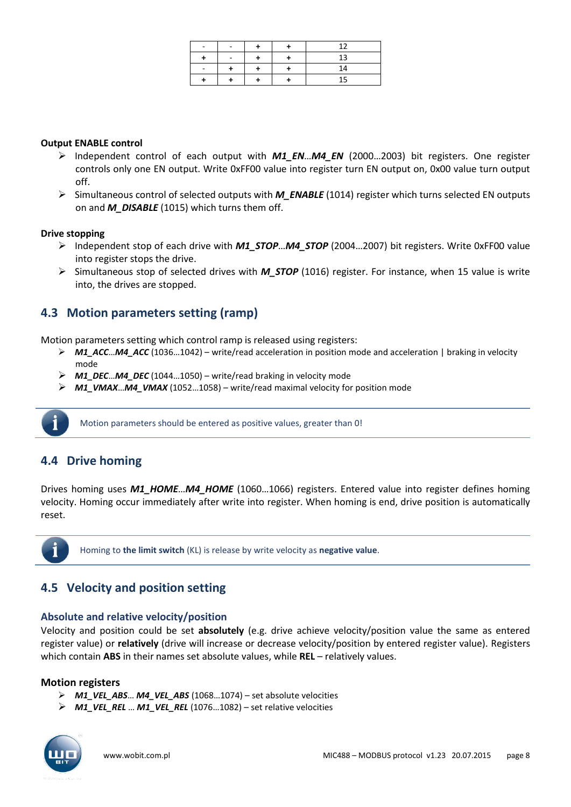|   |  | 12 |
|---|--|----|
|   |  | 13 |
| ۰ |  | 14 |
|   |  | 15 |

### **Output ENABLE control**

- Independent control of each output with *M1\_EN*…*M4\_EN* (2000…2003) bit registers. One register controls only one EN output. Write 0xFF00 value into register turn EN output on, 0x00 value turn output off.
- Simultaneous control of selected outputs with *M\_ENABLE* (1014) register which turns selected EN outputs on and *M\_DISABLE* (1015) which turns them off.

### **Drive stopping**

- Independent stop of each drive with *M1\_STOP*…*M4\_STOP* (2004…2007) bit registers. Write 0xFF00 value into register stops the drive.
- Simultaneous stop of selected drives with *M\_STOP* (1016) register. For instance, when 15 value is write into, the drives are stopped.

### <span id="page-7-0"></span>**4.3 Motion parameters setting (ramp)**

Motion parameters setting which control ramp is released using registers:

- *M1\_ACC*…*M4\_ACC* (1036…1042) write/read acceleration in position mode and acceleration | braking in velocity mode
- $\triangleright$  **M1 DEC**…M4 DEC (1044…1050) write/read braking in velocity mode
- **M1\_VMAX…M4\_VMAX** (1052…1058) write/read maximal velocity for position mode



Motion parameters should be entered as positive values, greater than 0!

### <span id="page-7-1"></span>**4.4 Drive homing**

Drives homing uses *M1\_HOME*…*M4\_HOME* (1060…1066) registers. Entered value into register defines homing velocity. Homing occur immediately after write into register. When homing is end, drive position is automatically reset.



Homing to **the limit switch** (KL) is release by write velocity as **negative value**.

### <span id="page-7-2"></span>**4.5 Velocity and position setting**

### **Absolute and relative velocity/position**

Velocity and position could be set **absolutely** (e.g. drive achieve velocity/position value the same as entered register value) or **relatively** (drive will increase or decrease velocity/position by entered register value). Registers which contain **ABS** in their names set absolute values, while **REL** – relatively values.

### **Motion registers**

- *M1\_VEL\_ABS*… *M4\_VEL\_ABS* (1068…1074) set absolute velocities
- *M1\_VEL\_REL* … *M1\_VEL\_REL* (1076…1082) set relative velocities

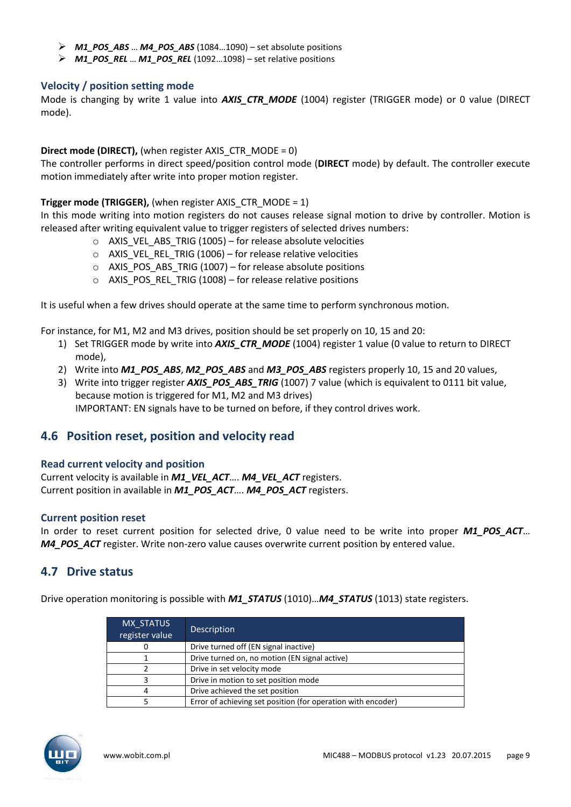- *M1\_POS\_ABS* … *M4\_POS\_ABS* (1084…1090) set absolute positions
- *M1\_POS\_REL* … *M1\_POS\_REL* (1092…1098) set relative positions

### **Velocity / position setting mode**

Mode is changing by write 1 value into *AXIS\_CTR\_MODE* (1004) register (TRIGGER mode) or 0 value (DIRECT mode).

### **Direct mode (DIRECT), (when register AXIS\_CTR\_MODE = 0)**

The controller performs in direct speed/position control mode (**DIRECT** mode) by default. The controller execute motion immediately after write into proper motion register.

### **Trigger mode (TRIGGER),** (when register AXIS CTR MODE = 1)

In this mode writing into motion registers do not causes release signal motion to drive by controller. Motion is released after writing equivalent value to trigger registers of selected drives numbers:

- $\circ$  AXIS\_VEL\_ABS\_TRIG (1005) for release absolute velocities
- $\circ$  AXIS VEL REL TRIG (1006) for release relative velocities
- o AXIS\_POS\_ABS\_TRIG (1007) for release absolute positions
- $\circ$  AXIS POS REL TRIG (1008) for release relative positions

It is useful when a few drives should operate at the same time to perform synchronous motion.

For instance, for M1, M2 and M3 drives, position should be set properly on 10, 15 and 20:

- 1) Set TRIGGER mode by write into *AXIS\_CTR\_MODE* (1004) register 1 value (0 value to return to DIRECT mode),
- 2) Write into *M1\_POS\_ABS*, *M2\_POS\_ABS* and *M3\_POS\_ABS* registers properly 10, 15 and 20 values,
- 3) Write into trigger register *AXIS\_POS\_ABS\_TRIG* (1007) 7 value (which is equivalent to 0111 bit value, because motion is triggered for M1, M2 and M3 drives)

IMPORTANT: EN signals have to be turned on before, if they control drives work.

### <span id="page-8-0"></span>**4.6 Position reset, position and velocity read**

### **Read current velocity and position**

Current velocity is available in *M1\_VEL\_ACT*…. *M4\_VEL\_ACT* registers. Current position in available in *M1\_POS\_ACT*…. *M4\_POS\_ACT* registers.

### **Current position reset**

In order to reset current position for selected drive, 0 value need to be write into proper *M1\_POS\_ACT*… *M4\_POS\_ACT* register. Write non-zero value causes overwrite current position by entered value.

### <span id="page-8-1"></span>**4.7 Drive status**

Drive operation monitoring is possible with *M1\_STATUS* (1010)…*M4\_STATUS* (1013) state registers.

| MX STATUS<br>register value | Description                                                  |
|-----------------------------|--------------------------------------------------------------|
|                             | Drive turned off (EN signal inactive)                        |
|                             | Drive turned on, no motion (EN signal active)                |
|                             | Drive in set velocity mode                                   |
| ર                           | Drive in motion to set position mode                         |
| 4                           | Drive achieved the set position                              |
|                             | Error of achieving set position (for operation with encoder) |

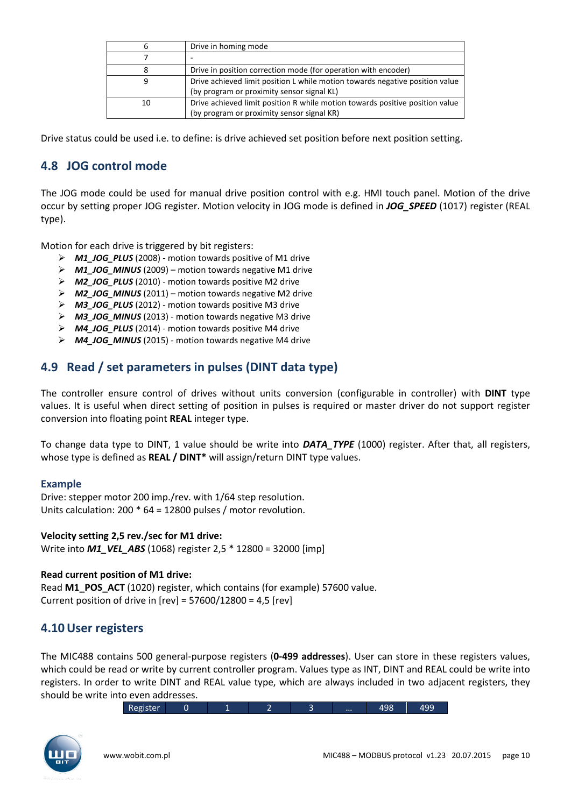| 6  | Drive in homing mode                                                         |
|----|------------------------------------------------------------------------------|
|    |                                                                              |
| 8  | Drive in position correction mode (for operation with encoder)               |
| 9  | Drive achieved limit position L while motion towards negative position value |
|    | (by program or proximity sensor signal KL)                                   |
| 10 | Drive achieved limit position R while motion towards positive position value |
|    | (by program or proximity sensor signal KR)                                   |

Drive status could be used i.e. to define: is drive achieved set position before next position setting.

### <span id="page-9-0"></span>**4.8 JOG control mode**

The JOG mode could be used for manual drive position control with e.g. HMI touch panel. Motion of the drive occur by setting proper JOG register. Motion velocity in JOG mode is defined in *JOG\_SPEED* (1017) register (REAL type).

Motion for each drive is triggered by bit registers:

- *M1\_JOG\_PLUS* (2008) motion towards positive of M1 drive
- *M1\_JOG\_MINUS* (2009) motion towards negative M1 drive
- *M2\_JOG\_PLUS* (2010) motion towards positive M2 drive
- *M2\_JOG\_MINUS* (2011) motion towards negative M2 drive
- *M3\_JOG\_PLUS* (2012) motion towards positive M3 drive
- *M3\_JOG\_MINUS* (2013) motion towards negative M3 drive
- *M4\_JOG\_PLUS* (2014) motion towards positive M4 drive
- *M4\_JOG\_MINUS* (2015) motion towards negative M4 drive

### <span id="page-9-1"></span>**4.9 Read / set parameters in pulses (DINT data type)**

The controller ensure control of drives without units conversion (configurable in controller) with **DINT** type values. It is useful when direct setting of position in pulses is required or master driver do not support register conversion into floating point **REAL** integer type.

To change data type to DINT, 1 value should be write into *DATA\_TYPE* (1000) register. After that, all registers, whose type is defined as **REAL / DINT\*** will assign/return DINT type values.

### **Example**

Drive: stepper motor 200 imp./rev. with 1/64 step resolution. Units calculation: 200 \* 64 = 12800 pulses / motor revolution.

### **Velocity setting 2,5 rev./sec for M1 drive:**

Write into *M1\_VEL\_ABS* (1068) register 2,5 \* 12800 = 32000 [imp]

### **Read current position of M1 drive:**

Read **M1\_POS\_ACT** (1020) register, which contains (for example) 57600 value. Current position of drive in  $[rev] = 57600/12800 = 4.5$   $[rev]$ 

### <span id="page-9-2"></span>**4.10User registers**

The MIC488 contains 500 general-purpose registers (**0-499 addresses**). User can store in these registers values, which could be read or write by current controller program. Values type as INT, DINT and REAL could be write into registers. In order to write DINT and REAL value type, which are always included in two adjacent registers, they should be write into even addresses.

Register 0 1 2 3 ... 498 499